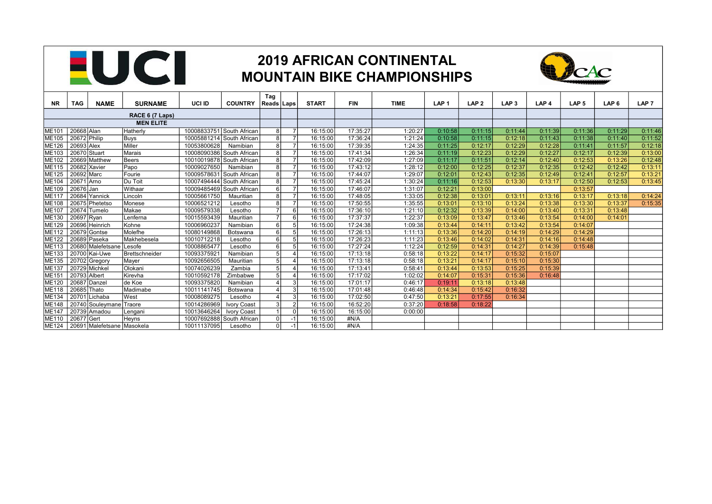

## 2019 AFRICAN CONTINENTAL MOUNTAIN BIKE CHAMPIONSHIPS



|                                                                     |               |                            |                |               |                           | Tag                     |                |              |            |             |                  |                  |                  |                  |                  |                  |                  |
|---------------------------------------------------------------------|---------------|----------------------------|----------------|---------------|---------------------------|-------------------------|----------------|--------------|------------|-------------|------------------|------------------|------------------|------------------|------------------|------------------|------------------|
| NR.                                                                 | TAG           | <b>NAME</b>                | <b>SURNAME</b> | <b>UCI ID</b> | <b>COUNTRY</b>            | Reads   Laps            |                | <b>START</b> | <b>FIN</b> | <b>TIME</b> | LAP <sub>1</sub> | LAP <sub>2</sub> | LAP <sub>3</sub> | LAP <sub>4</sub> | LAP <sub>5</sub> | LAP <sub>6</sub> | LAP <sub>7</sub> |
| RACE 6 (7 Laps)                                                     |               |                            |                |               |                           |                         |                |              |            |             |                  |                  |                  |                  |                  |                  |                  |
| <b>MEN ELITE</b>                                                    |               |                            |                |               |                           |                         |                |              |            |             |                  |                  |                  |                  |                  |                  |                  |
| 20668 Alan<br>Hatherly<br>10008833751 South African<br><b>ME101</b> |               |                            |                |               |                           | 8                       |                | 16:15:00     | 17:35:27   | 1:20:27     | 0:10:58          | 0:11:15          | 0:11:44          | 0:11:39          | 0:11:36          | 0:11:29          | 0:11:46          |
| ME105                                                               | 20672 Philip  |                            | <b>Buys</b>    |               | 10005881214 South African | 8                       | $\overline{7}$ | 16:15:00     | 17:36:24   | 1:21:24     | 0:10:58          | 0:11:15          | 0:12:18          | 0:11:43          | 0:11:38          | 0:11:40          | 0:11:52          |
| <b>ME126</b>                                                        | 20693 Alex    |                            | Miller         | 10053800628   | Namibian                  | 8                       | $\overline{7}$ | 16:15:00     | 17:39:35   | 1:24:35     | 0:11:25          | 0:12:17          | 0:12:29          | 0:12:28          | 0:11:41          | 0:11:57          | 0:12:18          |
| ME103                                                               | 20670 Stuart  |                            | Marais         |               | 10008090386 South African | 8                       | $\overline{7}$ | 16:15:00     | 17:41:34   | 1:26:34     | 0:11:19          | 0:12:23          | 0:12:29          | 0:12:27          | 0:12:17          | 0:12:39          | 0:13:00          |
| ME102                                                               |               | 20669 Matthew              | Beers          |               | 10010019878 South African | 8                       |                | 16:15:00     | 17:42:09   | 1:27:09     | 0:11:17          | 0:11:51          | 0:12:14          | 0:12:40          | 0:12:53          | 0:13:26          | 0:12:48          |
| ME115                                                               | 20682 Xavier  |                            | Papo           | 10009027650   | Namibian                  | 8                       | $\overline{7}$ | 16:15:00     | 17:43:12   | 1:28:12     | 0:12:00          | 0:12:25          | 0:12:37          | 0:12:35          | 0:12:42          | 0:12:42          | 0:13:11          |
| <b>ME125</b>                                                        | 20692 Marc    |                            | Fourie         |               | 10009578631 South African | 8                       | $\overline{7}$ | 16:15:00     | 17:44:07   | 1:29:07     | 0:12:01          | 0:12:43          | 0:12:35          | 0:12:49          | 0:12:41          | 0:12:57          | 0:13:21          |
| <b>ME104</b>                                                        | 20671 Arno    |                            | Du Toit        |               | 10007494444 South African | 8                       |                | 16:15:00     | 17:45:24   | 1:30:24     | 0:11:16          | 0:12:53          | 0:13:30          | 0:13:17          | 0:12:50          | 0:12:53          | 0:13:45          |
| ME109                                                               | 20676 Jan     |                            | Withaar        |               | 10009485469 South African | $6 \overline{6}$        | $\overline{7}$ | 16:15:00     | 17:46:07   | 1:31:07     | 0:12:21          | 0:13:00          |                  |                  | 0:13:57          |                  |                  |
| ME117                                                               | 20684 Yannick |                            | Lincoln        | 10005661750   | Mauritian                 | 8                       | $\overline{7}$ | 16:15:00     | 17:48:05   | 1:33:05     | 0:12:38          | 0:13:01          | 0:13:11          | 0:13:16          | 0:13:17          | 0:13:18          | 0:14:24          |
| <b>ME108</b>                                                        |               | 20675 Phetetso             | Monese         | 10006521212   | Lesotho                   | 8                       | $\overline{7}$ | 16:15:00     | 17:50:55   | 1:35:55     | 0:13:01          | 0:13:10          | 0:13:24          | 0:13:38          | 0:13:30          | 0:13:37          | 0:15:35          |
| <b>ME107</b>                                                        | 20674 Tumelo  |                            | Makae          | 10009579338   | Lesotho                   | $\overline{ }$          | 6              | 16:15:00     | 17:36:10   | 1:21:10     | 0:12:32          | 0:13:39          | 0:14:00          | 0:13:40          | 0:13:31          | 0:13:48          |                  |
| ME130                                                               | 20697 Ryan    |                            | Lenferna       | 10015593439   | Mauritian                 | $\overline{7}$          | $6 \mid$       | 16:15:00     | 17:37:37   | 1:22:37     | 0:13:09          | 0:13:47          | 0:13:46          | 0:13:54          | 0:14:00          | 0:14:01          |                  |
| ME129                                                               |               | 20696 Heinrich             | Kohne          | 10006960237   | Namibian                  | 6                       | 5              | 16:15:00     | 17:24:38   | 1:09:38     | 0:13:44          | 0:14:11          | 0:13:42          | 0:13:54          | 0:14:07          |                  |                  |
| ME112                                                               | 20679 Gontse  |                            | Molefhe        | 10080149868   | Botswana                  | 6                       | 5              | 16:15:00     | 17:26:13   | 1:11:13     | 0:13:36          | 0:14:20          | 0:14:19          | 0:14:29          | 0:14:29          |                  |                  |
| ME122                                                               | 20689 Paseka  |                            | Makhebesela    | 10010712218   | Lesotho                   | 6                       | -5             | 16:15:00     | 17:26:23   | 1:11:23     | 0:13:46          | 0:14:02          | 0:14:3'          | 0:14:16          | 0:14:48          |                  |                  |
| ME113                                                               |               | 20680 Malefetsane          | Lesofe         | 10008865477   | Lesotho                   | 6                       | 5 <sup>1</sup> | 16:15:00     | 17:27:24   | 1:12:24     | 0:12:59          | 0:14:31          | 0:14:27          | 0:14:39          | 0:15:48          |                  |                  |
| ME133                                                               |               | 20700 Kai-Uwe              | Brettschneider | 1009337592    | Namibian                  | 5                       | $\overline{4}$ | 16:15:00     | 17:13:18   | 0:58:18     | 0:13:22          | 0:14:17          | 0:15:32          | 0:15:07          |                  |                  |                  |
| <b>ME135</b>                                                        | 20702 Gregory |                            | Mayer          | 10092656505   | Mauritian                 | 5                       |                | 16:15:00     | 17:13:18   | 0:58:18     | 0:13:21          | 0:14:17          | 0:15:10          | 0:15:30          |                  |                  |                  |
| ME137                                                               | 20729 Michkel |                            | Olokani        | 10074026239   | Zambia                    | 5 <sub>5</sub>          | $\overline{4}$ | 16:15:00     | 17:13:41   | 0:58:41     | 0:13:44          | 0:13:53          | 0:15:25          | 0:15:39          |                  |                  |                  |
| ME151                                                               | 20793 Albert  |                            | Kirevha        | 10010592178   | Zimbabwe                  | 5                       | $\overline{4}$ | 16:15:00     | 17:17:02   | 1:02:02     | 0:14:07          | 0:15:31          | 0:15:36          | 0:16:48          |                  |                  |                  |
| ME120                                                               | 20687 Danzel  |                            | de Koe         | 10093375820   | Namibian                  | $\Delta$                | 3              | 16:15:00     | 17:01:17   | 0:46:17     | 0:19:11          | 0:13:18          | 0:13:48          |                  |                  |                  |                  |
| <b>ME118</b>                                                        | 20685 Thato   |                            | Madimabe       | 10011141745   | Botswana                  | $\Delta$                | 3              | 16:15:00     | 17:01:48   | 0:46:48     | 0:14:34          | 0:15:42          | 0:16:32          |                  |                  |                  |                  |
| ME134                                                               | 20701 Lichaba |                            | West           | 10008089275   | Lesotho                   | $\overline{\mathbf{A}}$ | $\mathbf{3}$   | 16:15:00     | 17:02:50   | 0:47:50     | 0:13:21          | 0:17:55          | 0:16:34          |                  |                  |                  |                  |
| <b>ME148</b>                                                        |               | 20740 Souleymane           | Traore         | 10014286969   | Ivory Coast               | $\overline{3}$          | $\overline{2}$ | 16:15:00     | 16:52:20   | 0:37:20     | 0:18:58          | 0:18:22          |                  |                  |                  |                  |                  |
| <b>ME147</b>                                                        |               | $20739$ Amadou             | Lengani        | 10013646264   | Ivory Coast               | $\overline{1}$          | $\mathbf 0$    | 16:15:00     | 16:15:00   | 0:00:00     |                  |                  |                  |                  |                  |                  |                  |
| <b>ME110</b>                                                        | 20677 Gert    |                            | Heyns          |               | 10007692888 South African | $\Omega$                | $-1$           | 16:15:00     | #N/A       |             |                  |                  |                  |                  |                  |                  |                  |
| ME124                                                               |               | 20691 Malefetsane Masokela |                | 10011137095   | Lesotho                   | $\Omega$                | $-1$           | 16:15:00     | #N/A       |             |                  |                  |                  |                  |                  |                  |                  |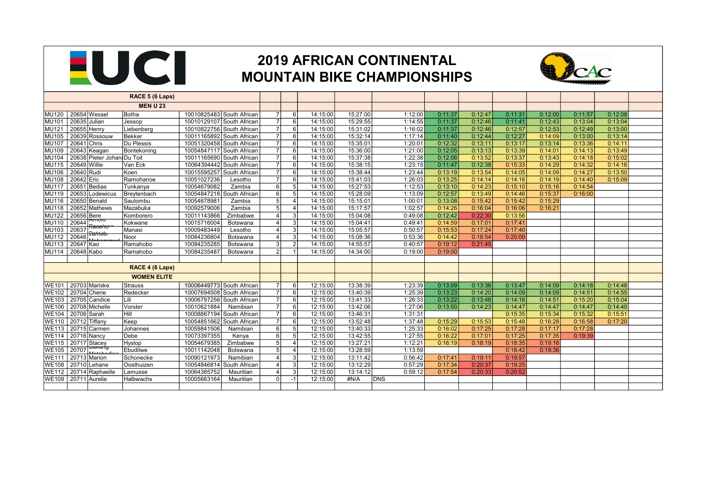

## 2019 AFRICAN CONTINENTAL MOUNTAIN BIKE CHAMPIONSHIPS



| RACE 5 (6 Laps)                                                                   |                  |                  |          |          |            |         |         |         |         |         |         |  |
|-----------------------------------------------------------------------------------|------------------|------------------|----------|----------|------------|---------|---------|---------|---------|---------|---------|--|
| <b>MEN U 23</b>                                                                   |                  |                  |          |          |            |         |         |         |         |         |         |  |
| 20654 Wessel<br>10010825483 South African<br>Botha<br>MU120                       | $\overline{7}$   | 6                | 14:15:00 | 15:27:00 | 1:12:00    | 0:11:37 | 0:12:47 | 0:11:31 | 0:12:00 | 0:11:57 | 0:12:08 |  |
| 10010129107 South African<br>20635 Julian<br>MU101<br>Jessop                      | $\overline{7}$   | - 6 I            | 14:15:00 | 15:29:55 | 1:14:55    | 0:11:37 | 0:12:46 | 0:11:41 | 0:12:43 | 0:13:04 | 0:13:04 |  |
| 20655 Henry<br>10010822756 South African<br>MU121<br>Liebenberg                   | $\overline{7}$   | $6 \mid$         | 14:15:00 | 15:31:02 | 1:16:02    | 0:11:37 | 0:12:46 | 0:12:57 | 0:12:53 | 0:12:49 | 0:13:00 |  |
| 20639 Rossouw<br><b>MU105</b><br>Bekker<br>10011165892 South African              | 7 <sup>1</sup>   | $6 \mid$         | 14:15:00 | 15:32:14 | 1:17:14    | 0:11:40 | 0:12:44 | 0:12:27 | 0:14:09 | 0:13:00 | 0:13:14 |  |
| 20641 Chris<br>Du Plessis<br><b>MU107</b><br>10051320458 South African            | $\overline{7}$   | $6 \mid$         | 14:15:00 | 15:35:01 | 1:20:01    | 0:12:32 | 0:13:11 | 0:13:17 | 0:13:14 | 0:13:36 | 0:14:11 |  |
| 20643 Keagan<br><b>MU109</b><br>Bontekoning<br>10054847117 South African          | $\overline{7}$   | $6 \mid$         | 14:15:00 | 15:36:00 | 1:21:00    | 0:12:05 | 0:13:13 | 0:13:39 | 0:14:01 | 0:14:13 | 0:13:49 |  |
| 20638 Pieter Johan Du Toit<br>10011165690 South African<br><b>MU104</b>           | $\overline{7}$   | - 6 I            | 14:15:00 | 15:37:38 | 1:22:38    | 0:12:06 | 0:13:52 | 0:13:37 | 0:13:43 | 0:14:18 | 0:15:02 |  |
| 20649 Willie<br>Van Eck<br>10064394442 South African<br>MU115                     | $\overline{7}$   | 6                | 14:15:00 | 15:38:15 | 1:23:15    | 0:11:47 | 0:12:38 | 0:15:33 | 0:14:29 | 0:14:32 | 0:14:16 |  |
| 10015595257 South African<br>20640 Rudi<br>Koen<br><b>MU106</b>                   | $\overline{7}$   | $6 \overline{6}$ | 14:15:00 | 15:38:44 | 1:23:44    | 0:13:19 | 0:13:54 | 0:14:05 | 0:14:09 | 0:14:27 | 0:13:50 |  |
| 20642 Eric<br>Ramohanoe<br>10051027236<br><b>MU108</b><br>Lesotho                 | $\overline{7}$   | 6                | 14:15:00 | 15:41:03 | 1:26:03    | 0:13:25 | 0:14:14 | 0:14:16 | 0:14:19 | 0:14:40 | 0:15:09 |  |
| 20651 Bedias<br>10054679082<br><b>MU117</b><br>Tunkanya<br>Zambia                 | 6                | 5 <sup>5</sup>   | 14:15:00 | 15:27:53 | 1:12:53    | 0:13:10 | 0:14:23 | 0:15:10 | 0:15:16 | 0:14:54 |         |  |
| 20653 Lodewicus<br>10054847218 South African<br>MU119<br>Breytenbach              | $6 \overline{6}$ | 5 <sup>1</sup>   | 14:15:00 | 15:28:09 | 1:13:09    | 0:12:57 | 0:13:49 | 0:14:46 | 0:15:37 | 0:16:00 |         |  |
| 20650 Benald<br>Saulombu<br>10054678981<br>MU116<br>Zambia                        | 5 <sub>5</sub>   | $\overline{4}$   | 14:15:00 | 15:15:01 | 1:00:01    | 0:13:08 | 0:15:42 | 0:15:42 | 0:15:29 |         |         |  |
| 10092579006<br>20652 Mathews<br>Mazabuka<br>Zambia<br><b>MU118</b>                | 5 <sub>5</sub>   |                  | 14:15:00 | 15:17:57 | 1:02:57    | 0:14:26 | 0:16:04 | 0:16:06 | 0:16:21 |         |         |  |
| 20656 Bere<br>10011143866<br>$\overline{Z}$ imbabwe<br><b>MU122</b><br>Komborero  | $\Delta$         | -3 I             | 14:15:00 | 15:04:08 | 0:49:08    | 0:12:42 | 0:22:30 | 0:13:56 |         |         |         |  |
| טוטווז<br>20644<br>10015716004<br>MU110<br>Kokwane<br>Botswana<br>Rattel for      | Δ                | $\overline{3}$   | 14:15:00 | 15:04:41 | 0:49:41    | 0:14:59 | 0:17:01 | 0:17:41 |         |         |         |  |
| 20637<br><b>MU103</b><br>Manasi<br>10009483449<br>Lesotho<br><del>Jahreer</del>   |                  | $\overline{3}$   | 14:15:00 | 15:05:57 | 0:50:57    | 0:15:53 | 0:17:24 | 0:17:40 |         |         |         |  |
| 20646<br>10084236804<br><b>MU112</b><br>Noor<br>Botswana                          | 4                | -3 I             | 14:15:00 | 15:08:36 | 0:53:36    | 0:14:42 | 0:18:54 | 0:20:00 |         |         |         |  |
| 20647 Kao<br>10084235285<br>Ramahobo<br><b>MU113</b><br>Botswana                  | 3                | $\overline{2}$   | 14:15:00 | 14:55:57 | 0:40:57    | 0:19:12 | 0:21:45 |         |         |         |         |  |
| 20648 Kabo<br>10084235487<br><b>MU114</b><br>Ramahobo<br>Botswana                 | $\overline{2}$   |                  | 14:15:00 | 14:34:00 | 0:19:00    | 0:19:00 |         |         |         |         |         |  |
|                                                                                   |                  |                  |          |          |            |         |         |         |         |         |         |  |
| RACE 4 (6 Laps)                                                                   |                  |                  |          |          |            |         |         |         |         |         |         |  |
| <b>WOMEN ELITE</b>                                                                |                  |                  |          |          |            |         |         |         |         |         |         |  |
| 20703 Mariske<br>10006449773 South African<br><b>WE101</b><br>Strauss             | $\overline{7}$   | $6 \overline{6}$ | 12:15:00 | 13:38:39 | 1:23:39    | 0:13:09 | 0:13:36 | 0:13:47 | 0:14:09 | 0:14:18 | 0:14:48 |  |
| $20704$ Cherie<br>10007694508 South African<br>Redecker<br><b>WE102</b>           | $\overline{7}$   | 6                | 12:15:00 | 13:40:39 | 1:25:39    | 0:13:23 | 0:14:20 | 0:14:09 | 0:14:09 | 0:14:51 | 0:14:55 |  |
| 20705 Candice<br>Lill<br>10006797256 South African<br><b>WE103</b>                | $\overline{7}$   | - 6 I            | 12:15:00 | 13:41:33 | 1:26:33    | 0:13:22 | 0:13:48 | 0:14:16 | 0:14:51 | 0:15:20 | 0:15:04 |  |
| Vorster<br>20708 Michelle<br>10010621884<br><b>WE106</b><br>Namibian              | $\overline{7}$   | - 6 I            | 12:15:00 | 13:42:06 | 1:27:06    | 0:13:50 | 0:14:23 | 0:14:47 | 0:14:47 | 0:14:47 | 0:14:40 |  |
| Hill<br>20706 Sarah<br>10008867194 South African<br><b>WE104</b>                  | $\overline{7}$   | $6 \mid$         | 12:15:00 | 13:46:31 | 1:31:31    |         |         | 0:15:35 | 0:15:34 | 0:15:32 | 0:15:51 |  |
| 20712 Tiffany<br><b>WE110</b><br>Keep<br>10054851662 South African                | $\overline{7}$   | $6 \mid$         | 12:15:00 | 13:52:48 | 1:37:48    | 0:15:29 | 0:15:53 | 0:15:48 | 0:16:28 | 0:16:58 | 0:17:20 |  |
| $\overline{207}$ 15 Carmen<br><b>WE113</b><br>Johannes<br>10059841506<br>Namibian | $6 \,$           | 5 <sup>1</sup>   | 12:15:00 | 13:40:33 | 1:25:33    | 0:16:02 | 0:17:25 | 0:17:28 | 0:17:17 | 0:17:28 |         |  |
| 20716 Nancy<br>10073397355<br>Debe<br><b>WE114</b><br>Kenya                       | $6 \overline{6}$ | 5 <sup>5</sup>   | 12:15:00 | 13:42:55 | 1:27:55    | 0:16:22 | 0:17:01 | 0:17:25 | 0:17:35 | 0:19:39 |         |  |
| 20717 Stacey<br>Hyslop<br><b>WE115</b><br>10054679385<br>Zimbabwe                 | 5                | $\overline{4}$   | 12:15:00 | 13:27:21 | 1:12:21    | 0:16:19 | 0:18:19 | 0:18:35 | 0:19:16 |         |         |  |
| 20707<br>Ebudilwe<br>10011142048<br><b>WE105</b><br>Botswana                      | 5 <sup>1</sup>   | $\overline{4}$   | 12:15:00 | 13:28:59 | 1:13:59    |         |         | 0:18:42 | 0:19:36 |         |         |  |
| 10090121973<br>20713 Marion<br>Namibian<br>Schonecke<br><b>WE111</b>              | Δ                | $\overline{3}$   | 12:15:00 | 13:11:42 | 0:56:42    | 0:17:41 | 0:19:11 | 0:19:57 |         |         |         |  |
| 20710 Lehane<br>10054846814 South African<br><b>WE108</b><br>Oosthuizen           | $\overline{4}$   | $\overline{3}$   | 12:15:00 | 13:12:29 | 0:57:29    | 0:17:34 | 0:20:37 | 0:19:25 |         |         |         |  |
| <b>WE112</b><br>20714 Raphaelle<br>10064385752<br>Lamusse<br>Mauritian            | $\Delta$         | 31               | 12:15:00 | 13:14:12 | 0:59:12    | 0:17:54 | 0:20:33 | 0:20:52 |         |         |         |  |
| 20711 Aurelie<br><b>WE109</b><br>Halbwachs<br>10005663164<br>Mauritian            | $\overline{0}$   | $-1$             | 12:15:00 | #N/A     | <b>DNS</b> |         |         |         |         |         |         |  |
|                                                                                   |                  |                  |          |          |            |         |         |         |         |         |         |  |